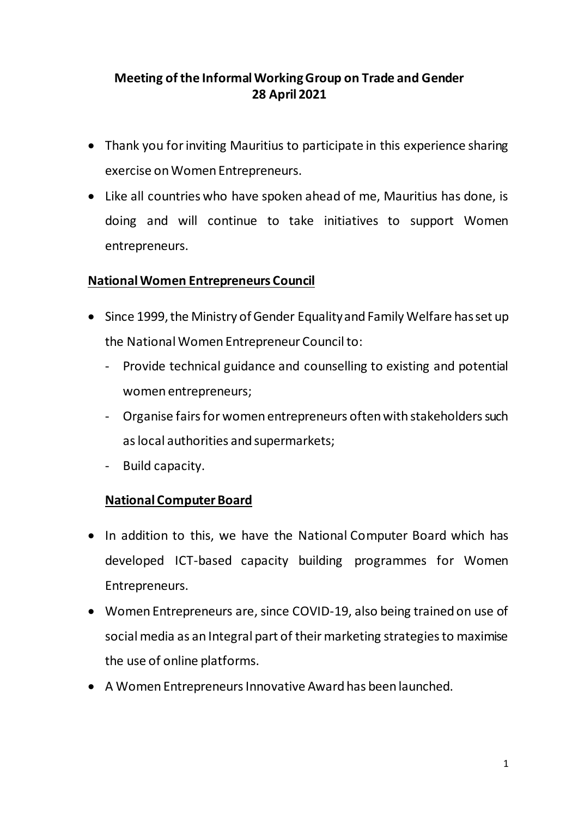## **Meeting of the Informal Working Group on Trade and Gender 28 April 2021**

- Thank you for inviting Mauritius to participate in this experience sharing exercise on Women Entrepreneurs.
- Like all countries who have spoken ahead of me, Mauritius has done, is doing and will continue to take initiatives to support Women entrepreneurs.

### **National Women Entrepreneurs Council**

- Since 1999, the Ministry of Gender Equality and Family Welfare has set up the National Women Entrepreneur Council to:
	- Provide technical guidance and counselling to existing and potential women entrepreneurs;
	- Organise fairs for women entrepreneurs often with stakeholders such as local authorities and supermarkets;
	- Build capacity.

### **National Computer Board**

- In addition to this, we have the National Computer Board which has developed ICT-based capacity building programmes for Women Entrepreneurs.
- Women Entrepreneurs are, since COVID-19, also being trained on use of social media as an Integral part of their marketing strategies to maximise the use of online platforms.
- A Women Entrepreneurs Innovative Award has been launched.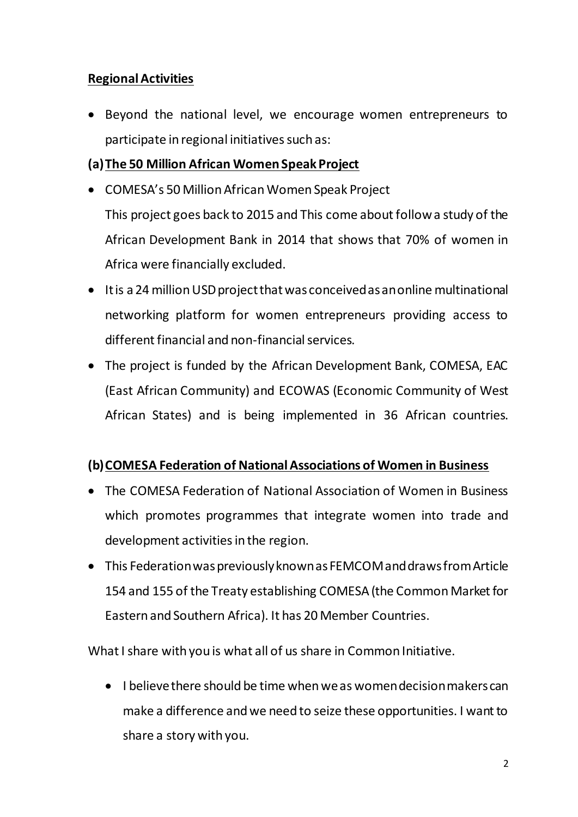## **Regional Activities**

• Beyond the national level, we encourage women entrepreneurs to participate in regional initiatives such as:

# **(a)The 50 Million African Women Speak Project**

- COMESA's 50 Million African Women Speak Project This project goes back to 2015 and This come about follow a study of the African Development Bank in 2014 that shows that 70% of women in Africa were financially excluded.
- It is a 24 million USD project thatwas conceived as an online multinational networking platform for women entrepreneurs providing access to different financial and non-financial services.
- The project is funded by the African Development Bank, COMESA, EAC (East African Community) and ECOWAS (Economic Community of West African States) and is being implemented in 36 African countries.

# **(b)COMESA Federation of National Associations of Women in Business**

- The COMESA Federation of National Association of Women in Business which promotes programmes that integrate women into trade and development activities in the region.
- This Federation was previously known as FEMCOM and draws from Article 154 and 155 of the Treaty establishing COMESA (the Common Market for Eastern and Southern Africa). It has 20 Member Countries.

What I share with you is what all of us share in Common Initiative.

• I believe there should be time when we as women decision makers can make a difference and we need to seize these opportunities. I want to share a story with you.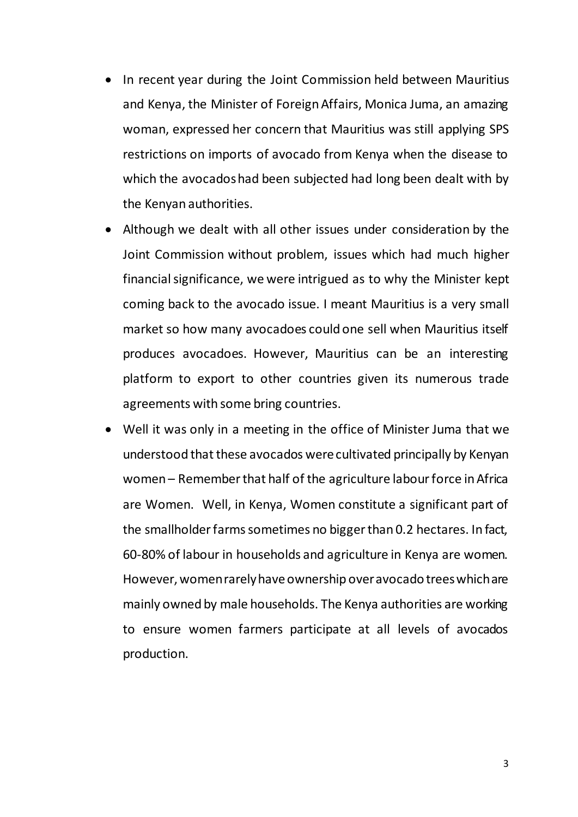- In recent year during the Joint Commission held between Mauritius and Kenya, the Minister of Foreign Affairs, Monica Juma, an amazing woman, expressed her concern that Mauritius was still applying SPS restrictions on imports of avocado from Kenya when the disease to which the avocados had been subjected had long been dealt with by the Kenyan authorities.
- Although we dealt with all other issues under consideration by the Joint Commission without problem, issues which had much higher financial significance, we were intrigued as to why the Minister kept coming back to the avocado issue. I meant Mauritius is a very small market so how many avocadoes could one sell when Mauritius itself produces avocadoes. However, Mauritius can be an interesting platform to export to other countries given its numerous trade agreements with some bring countries.
- Well it was only in a meeting in the office of Minister Juma that we understood that these avocados were cultivated principally by Kenyan women – Remember that half of the agriculture labour force in Africa are Women. Well, in Kenya, Women constitute a significant part of the smallholder farms sometimes no bigger than 0.2 hectares. In fact, 60-80% of labour in households and agriculture in Kenya are women. However, women rarely have ownership over avocado trees which are mainly owned by male households. The Kenya authorities are working to ensure women farmers participate at all levels of avocados production.